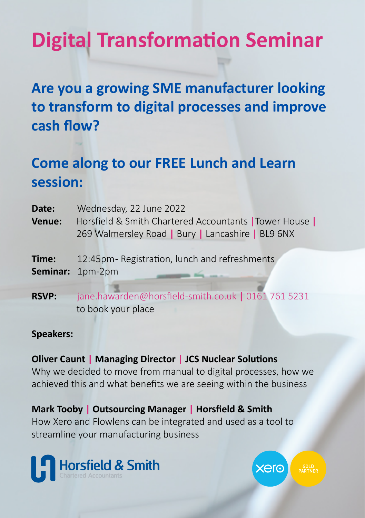# **Digital Transformation Seminar**

### **Are you a growing SME manufacturer looking to transform to digital processes and improve cash flow?**

### **Come along to our FREE Lunch and Learn session:**

| Date:        | Wednesday, 22 June 2022                                                                                      |
|--------------|--------------------------------------------------------------------------------------------------------------|
| Venue:       | Horsfield & Smith Chartered Accountants   Tower House  <br>269 Walmersley Road   Bury   Lancashire   BL9 6NX |
| Time:        | 12:45pm-Registration, lunch and refreshments<br>Seminar: 1pm-2pm                                             |
| <b>RSVP:</b> | jane.hawarden@horsfield-smith.co.uk   0161 761 5231<br>to book your place                                    |

#### **Speakers:**

### **Oliver Caunt | Managing Director | JCS Nuclear Solutions**

Why we decided to move from manual to digital processes, how we achieved this and what benefits we are seeing within the business

**Mark Tooby | Outsourcing Manager | Horsfield & Smith** How Xero and Flowlens can be integrated and used as a tool to streamline your manufacturing business